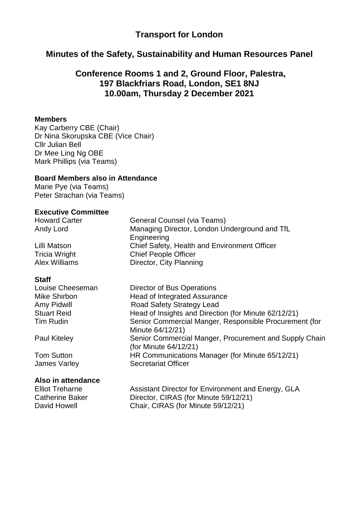## **Transport for London**

### **Minutes of the Safety, Sustainability and Human Resources Panel**

## **Conference Rooms 1 and 2, Ground Floor, Palestra, 197 Blackfriars Road, London, SE1 8NJ 10.00am, Thursday 2 December 2021**

#### **Members**

Kay Carberry CBE (Chair) Dr Nina Skorupska CBE (Vice Chair) Cllr Julian Bell Dr Mee Ling Ng OBE Mark Phillips (via Teams)

#### **Board Members also in Attendance**

Marie Pye (via Teams) Peter Strachan (via Teams)

#### **Executive Committee**

Howard Carter General Counsel (via Teams) Andy Lord Managing Director, London Underground and TfL **Engineering** Lilli Matson Chief Safety, Health and Environment Officer Tricia Wright Chief People Officer Alex Williams Director, City Planning

### **Staff**

#### **Also in attendance**

Louise Cheeseman Director of Bus Operations Mike Shirbon **Head of Integrated Assurance** Amy Pidwill **Road Safety Strategy Lead** Stuart Reid **Head of Insights and Direction (for Minute 62/12/21)** Tim Rudin Senior Commercial Manger, Responsible Procurement (for Minute 64/12/21) Paul Kiteley Senior Commercial Manger, Procurement and Supply Chain (for Minute 64/12/21) Tom Sutton HR Communications Manager (for Minute 65/12/21) James Varley Secretariat Officer

Elliot Treharne **Assistant Director for Environment and Energy, GLA** Catherine Baker Director, CIRAS (for Minute 59/12/21) David Howell Chair, CIRAS (for Minute 59/12/21)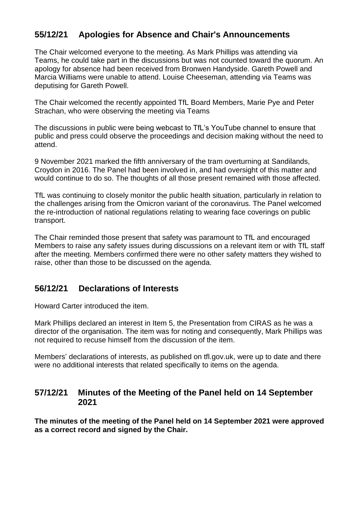# **55/12/21 Apologies for Absence and Chair's Announcements**

The Chair welcomed everyone to the meeting. As Mark Phillips was attending via Teams, he could take part in the discussions but was not counted toward the quorum. An apology for absence had been received from Bronwen Handyside. Gareth Powell and Marcia Williams were unable to attend. Louise Cheeseman, attending via Teams was deputising for Gareth Powell.

The Chair welcomed the recently appointed TfL Board Members, Marie Pye and Peter Strachan, who were observing the meeting via Teams

The discussions in public were being webcast to TfL's YouTube channel to ensure that public and press could observe the proceedings and decision making without the need to attend.

9 November 2021 marked the fifth anniversary of the tram overturning at Sandilands, Croydon in 2016. The Panel had been involved in, and had oversight of this matter and would continue to do so. The thoughts of all those present remained with those affected.

TfL was continuing to closely monitor the public health situation, particularly in relation to the challenges arising from the Omicron variant of the coronavirus. The Panel welcomed the re-introduction of national regulations relating to wearing face coverings on public transport.

The Chair reminded those present that safety was paramount to TfL and encouraged Members to raise any safety issues during discussions on a relevant item or with TfL staff after the meeting. Members confirmed there were no other safety matters they wished to raise, other than those to be discussed on the agenda.

## **56/12/21 Declarations of Interests**

Howard Carter introduced the item.

Mark Phillips declared an interest in Item 5, the Presentation from CIRAS as he was a director of the organisation. The item was for noting and consequently, Mark Phillips was not required to recuse himself from the discussion of the item.

Members' declarations of interests, as published on tfl.gov.uk, were up to date and there were no additional interests that related specifically to items on the agenda.

### **57/12/21 Minutes of the Meeting of the Panel held on 14 September 2021**

**The minutes of the meeting of the Panel held on 14 September 2021 were approved as a correct record and signed by the Chair.**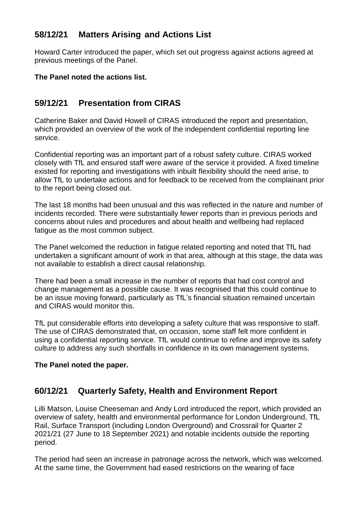# **58/12/21 Matters Arising and Actions List**

Howard Carter introduced the paper, which set out progress against actions agreed at previous meetings of the Panel.

### **The Panel noted the actions list.**

# **59/12/21 Presentation from CIRAS**

Catherine Baker and David Howell of CIRAS introduced the report and presentation, which provided an overview of the work of the independent confidential reporting line service.

Confidential reporting was an important part of a robust safety culture. CIRAS worked closely with TfL and ensured staff were aware of the service it provided. A fixed timeline existed for reporting and investigations with inbuilt flexibility should the need arise, to allow TfL to undertake actions and for feedback to be received from the complainant prior to the report being closed out.

The last 18 months had been unusual and this was reflected in the nature and number of incidents recorded. There were substantially fewer reports than in previous periods and concerns about rules and procedures and about health and wellbeing had replaced fatigue as the most common subject.

The Panel welcomed the reduction in fatigue related reporting and noted that TfL had undertaken a significant amount of work in that area, although at this stage, the data was not available to establish a direct causal relationship.

There had been a small increase in the number of reports that had cost control and change management as a possible cause. It was recognised that this could continue to be an issue moving forward, particularly as TfL's financial situation remained uncertain and CIRAS would monitor this.

TfL put considerable efforts into developing a safety culture that was responsive to staff. The use of CIRAS demonstrated that, on occasion, some staff felt more confident in using a confidential reporting service. TfL would continue to refine and improve its safety culture to address any such shortfalls in confidence in its own management systems.

### **The Panel noted the paper.**

## **60/12/21 Quarterly Safety, Health and Environment Report**

Lilli Matson, Louise Cheeseman and Andy Lord introduced the report, which provided an overview of safety, health and environmental performance for London Underground, TfL Rail, Surface Transport (including London Overground) and Crossrail for Quarter 2 2021/21 (27 June to 18 September 2021) and notable incidents outside the reporting period.

The period had seen an increase in patronage across the network, which was welcomed. At the same time, the Government had eased restrictions on the wearing of face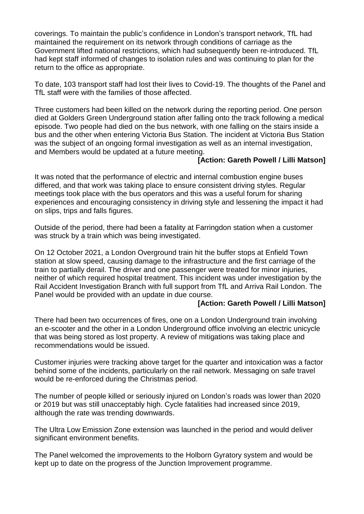coverings. To maintain the public's confidence in London's transport network, TfL had maintained the requirement on its network through conditions of carriage as the Government lifted national restrictions, which had subsequently been re-introduced. TfL had kept staff informed of changes to isolation rules and was continuing to plan for the return to the office as appropriate.

To date, 103 transport staff had lost their lives to Covid-19. The thoughts of the Panel and TfL staff were with the families of those affected.

Three customers had been killed on the network during the reporting period. One person died at Golders Green Underground station after falling onto the track following a medical episode. Two people had died on the bus network, with one falling on the stairs inside a bus and the other when entering Victoria Bus Station. The incident at Victoria Bus Station was the subject of an ongoing formal investigation as well as an internal investigation, and Members would be updated at a future meeting.

### **[Action: Gareth Powell / Lilli Matson]**

It was noted that the performance of electric and internal combustion engine buses differed, and that work was taking place to ensure consistent driving styles. Regular meetings took place with the bus operators and this was a useful forum for sharing experiences and encouraging consistency in driving style and lessening the impact it had on slips, trips and falls figures.

Outside of the period, there had been a fatality at Farringdon station when a customer was struck by a train which was being investigated.

On 12 October 2021, a London Overground train hit the buffer stops at Enfield Town station at slow speed, causing damage to the infrastructure and the first carriage of the train to partially derail. The driver and one passenger were treated for minor injuries, neither of which required hospital treatment. This incident was under investigation by the Rail Accident Investigation Branch with full support from TfL and Arriva Rail London. The Panel would be provided with an update in due course.

#### **[Action: Gareth Powell / Lilli Matson]**

There had been two occurrences of fires, one on a London Underground train involving an e-scooter and the other in a London Underground office involving an electric unicycle that was being stored as lost property. A review of mitigations was taking place and recommendations would be issued.

Customer injuries were tracking above target for the quarter and intoxication was a factor behind some of the incidents, particularly on the rail network. Messaging on safe travel would be re-enforced during the Christmas period.

The number of people killed or seriously injured on London's roads was lower than 2020 or 2019 but was still unacceptably high. Cycle fatalities had increased since 2019, although the rate was trending downwards.

The Ultra Low Emission Zone extension was launched in the period and would deliver significant environment benefits.

The Panel welcomed the improvements to the Holborn Gyratory system and would be kept up to date on the progress of the Junction Improvement programme.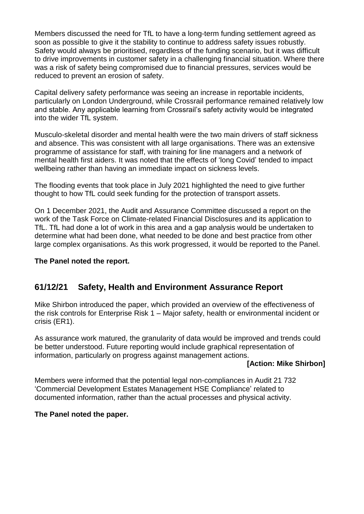Members discussed the need for TfL to have a long-term funding settlement agreed as soon as possible to give it the stability to continue to address safety issues robustly. Safety would always be prioritised, regardless of the funding scenario, but it was difficult to drive improvements in customer safety in a challenging financial situation. Where there was a risk of safety being compromised due to financial pressures, services would be reduced to prevent an erosion of safety.

Capital delivery safety performance was seeing an increase in reportable incidents, particularly on London Underground, while Crossrail performance remained relatively low and stable. Any applicable learning from Crossrail's safety activity would be integrated into the wider TfL system.

Musculo-skeletal disorder and mental health were the two main drivers of staff sickness and absence. This was consistent with all large organisations. There was an extensive programme of assistance for staff, with training for line managers and a network of mental health first aiders. It was noted that the effects of 'long Covid' tended to impact wellbeing rather than having an immediate impact on sickness levels.

The flooding events that took place in July 2021 highlighted the need to give further thought to how TfL could seek funding for the protection of transport assets.

On 1 December 2021, the Audit and Assurance Committee discussed a report on the work of the Task Force on Climate-related Financial Disclosures and its application to TfL. TfL had done a lot of work in this area and a gap analysis would be undertaken to determine what had been done, what needed to be done and best practice from other large complex organisations. As this work progressed, it would be reported to the Panel.

### **The Panel noted the report.**

## **61/12/21 Safety, Health and Environment Assurance Report**

Mike Shirbon introduced the paper, which provided an overview of the effectiveness of the risk controls for Enterprise Risk 1 – Major safety, health or environmental incident or crisis (ER1).

As assurance work matured, the granularity of data would be improved and trends could be better understood. Future reporting would include graphical representation of information, particularly on progress against management actions.

### **[Action: Mike Shirbon]**

Members were informed that the potential legal non-compliances in Audit 21 732 'Commercial Development Estates Management HSE Compliance' related to documented information, rather than the actual processes and physical activity.

### **The Panel noted the paper.**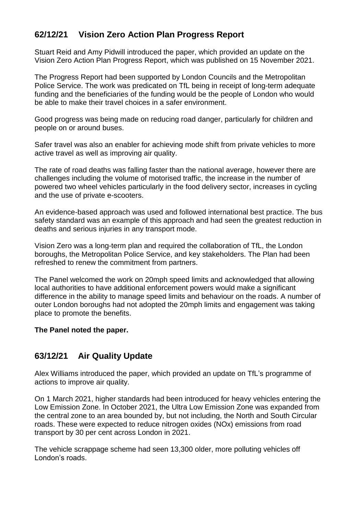# **62/12/21 Vision Zero Action Plan Progress Report**

Stuart Reid and Amy Pidwill introduced the paper, which provided an update on the Vision Zero Action Plan Progress Report, which was published on 15 November 2021.

The Progress Report had been supported by London Councils and the Metropolitan Police Service. The work was predicated on TfL being in receipt of long-term adequate funding and the beneficiaries of the funding would be the people of London who would be able to make their travel choices in a safer environment.

Good progress was being made on reducing road danger, particularly for children and people on or around buses.

Safer travel was also an enabler for achieving mode shift from private vehicles to more active travel as well as improving air quality.

The rate of road deaths was falling faster than the national average, however there are challenges including the volume of motorised traffic, the increase in the number of powered two wheel vehicles particularly in the food delivery sector, increases in cycling and the use of private e-scooters.

An evidence-based approach was used and followed international best practice. The bus safety standard was an example of this approach and had seen the greatest reduction in deaths and serious injuries in any transport mode.

Vision Zero was a long-term plan and required the collaboration of TfL, the London boroughs, the Metropolitan Police Service, and key stakeholders. The Plan had been refreshed to renew the commitment from partners.

The Panel welcomed the work on 20mph speed limits and acknowledged that allowing local authorities to have additional enforcement powers would make a significant difference in the ability to manage speed limits and behaviour on the roads. A number of outer London boroughs had not adopted the 20mph limits and engagement was taking place to promote the benefits.

### **The Panel noted the paper.**

## **63/12/21 Air Quality Update**

Alex Williams introduced the paper, which provided an update on TfL's programme of actions to improve air quality.

On 1 March 2021, higher standards had been introduced for heavy vehicles entering the Low Emission Zone. In October 2021, the Ultra Low Emission Zone was expanded from the central zone to an area bounded by, but not including, the North and South Circular roads. These were expected to reduce nitrogen oxides (NOx) emissions from road transport by 30 per cent across London in 2021.

The vehicle scrappage scheme had seen 13,300 older, more polluting vehicles off London's roads.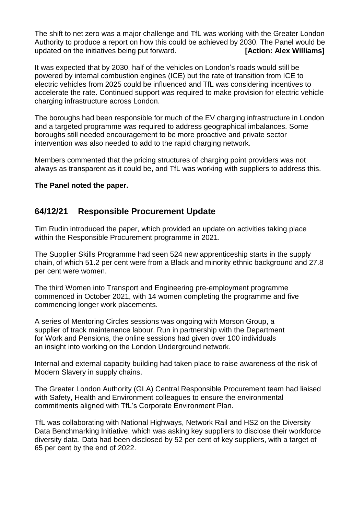The shift to net zero was a major challenge and TfL was working with the Greater London Authority to produce a report on how this could be achieved by 2030. The Panel would be updated on the initiatives being put forward. **[Action: Alex Williams]** 

It was expected that by 2030, half of the vehicles on London's roads would still be powered by internal combustion engines (ICE) but the rate of transition from ICE to electric vehicles from 2025 could be influenced and TfL was considering incentives to accelerate the rate. Continued support was required to make provision for electric vehicle charging infrastructure across London.

The boroughs had been responsible for much of the EV charging infrastructure in London and a targeted programme was required to address geographical imbalances. Some boroughs still needed encouragement to be more proactive and private sector intervention was also needed to add to the rapid charging network.

Members commented that the pricing structures of charging point providers was not always as transparent as it could be, and TfL was working with suppliers to address this.

### **The Panel noted the paper.**

## **64/12/21 Responsible Procurement Update**

Tim Rudin introduced the paper, which provided an update on activities taking place within the Responsible Procurement programme in 2021.

The Supplier Skills Programme had seen 524 new apprenticeship starts in the supply chain, of which 51.2 per cent were from a Black and minority ethnic background and 27.8 per cent were women.

The third Women into Transport and Engineering pre-employment programme commenced in October 2021, with 14 women completing the programme and five commencing longer work placements.

A series of Mentoring Circles sessions was ongoing with Morson Group, a supplier of track maintenance labour. Run in partnership with the Department for Work and Pensions, the online sessions had given over 100 individuals an insight into working on the London Underground network.

Internal and external capacity building had taken place to raise awareness of the risk of Modern Slavery in supply chains.

The Greater London Authority (GLA) Central Responsible Procurement team had liaised with Safety, Health and Environment colleagues to ensure the environmental commitments aligned with TfL's Corporate Environment Plan.

TfL was collaborating with National Highways, Network Rail and HS2 on the Diversity Data Benchmarking Initiative, which was asking key suppliers to disclose their workforce diversity data. Data had been disclosed by 52 per cent of key suppliers, with a target of 65 per cent by the end of 2022.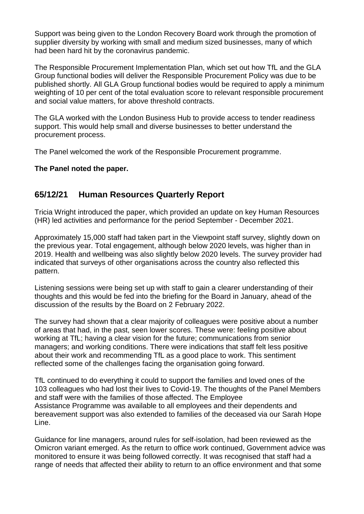Support was being given to the London Recovery Board work through the promotion of supplier diversity by working with small and medium sized businesses, many of which had been hard hit by the coronavirus pandemic.

The Responsible Procurement Implementation Plan, which set out how TfL and the GLA Group functional bodies will deliver the Responsible Procurement Policy was due to be published shortly. All GLA Group functional bodies would be required to apply a minimum weighting of 10 per cent of the total evaluation score to relevant responsible procurement and social value matters, for above threshold contracts.

The GLA worked with the London Business Hub to provide access to tender readiness support. This would help small and diverse businesses to better understand the procurement process.

The Panel welcomed the work of the Responsible Procurement programme.

### **The Panel noted the paper.**

## **65/12/21 Human Resources Quarterly Report**

Tricia Wright introduced the paper, which provided an update on key Human Resources (HR) led activities and performance for the period September - December 2021.

Approximately 15,000 staff had taken part in the Viewpoint staff survey, slightly down on the previous year. Total engagement, although below 2020 levels, was higher than in 2019. Health and wellbeing was also slightly below 2020 levels. The survey provider had indicated that surveys of other organisations across the country also reflected this pattern.

Listening sessions were being set up with staff to gain a clearer understanding of their thoughts and this would be fed into the briefing for the Board in January, ahead of the discussion of the results by the Board on 2 February 2022.

The survey had shown that a clear majority of colleagues were positive about a number of areas that had, in the past, seen lower scores. These were: feeling positive about working at TfL; having a clear vision for the future; communications from senior managers; and working conditions. There were indications that staff felt less positive about their work and recommending TfL as a good place to work. This sentiment reflected some of the challenges facing the organisation going forward.

TfL continued to do everything it could to support the families and loved ones of the 103 colleagues who had lost their lives to Covid-19. The thoughts of the Panel Members and staff were with the families of those affected. The Employee Assistance Programme was available to all employees and their dependents and bereavement support was also extended to families of the deceased via our Sarah Hope Line.

Guidance for line managers, around rules for self-isolation, had been reviewed as the Omicron variant emerged. As the return to office work continued, Government advice was monitored to ensure it was being followed correctly. It was recognised that staff had a range of needs that affected their ability to return to an office environment and that some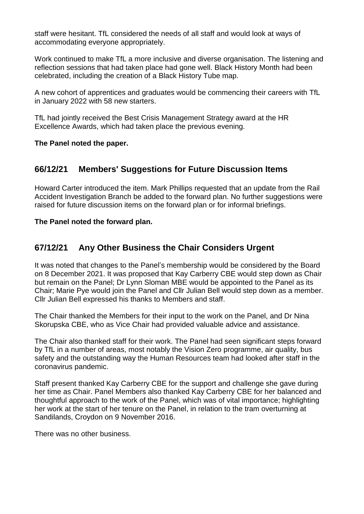staff were hesitant. TfL considered the needs of all staff and would look at ways of accommodating everyone appropriately.

Work continued to make TfL a more inclusive and diverse organisation. The listening and reflection sessions that had taken place had gone well. Black History Month had been celebrated, including the creation of a Black History Tube map.

A new cohort of apprentices and graduates would be commencing their careers with TfL in January 2022 with 58 new starters.

TfL had jointly received the Best Crisis Management Strategy award at the HR Excellence Awards, which had taken place the previous evening.

**The Panel noted the paper.** 

## **66/12/21 Members' Suggestions for Future Discussion Items**

Howard Carter introduced the item. Mark Phillips requested that an update from the Rail Accident Investigation Branch be added to the forward plan. No further suggestions were raised for future discussion items on the forward plan or for informal briefings.

**The Panel noted the forward plan.**

## **67/12/21 Any Other Business the Chair Considers Urgent**

It was noted that changes to the Panel's membership would be considered by the Board on 8 December 2021. It was proposed that Kay Carberry CBE would step down as Chair but remain on the Panel; Dr Lynn Sloman MBE would be appointed to the Panel as its Chair; Marie Pye would join the Panel and Cllr Julian Bell would step down as a member. Cllr Julian Bell expressed his thanks to Members and staff.

The Chair thanked the Members for their input to the work on the Panel, and Dr Nina Skorupska CBE, who as Vice Chair had provided valuable advice and assistance.

The Chair also thanked staff for their work. The Panel had seen significant steps forward by TfL in a number of areas, most notably the Vision Zero programme, air quality, bus safety and the outstanding way the Human Resources team had looked after staff in the coronavirus pandemic.

Staff present thanked Kay Carberry CBE for the support and challenge she gave during her time as Chair. Panel Members also thanked Kay Carberry CBE for her balanced and thoughtful approach to the work of the Panel, which was of vital importance; highlighting her work at the start of her tenure on the Panel, in relation to the tram overturning at Sandilands, Croydon on 9 November 2016.

There was no other business.